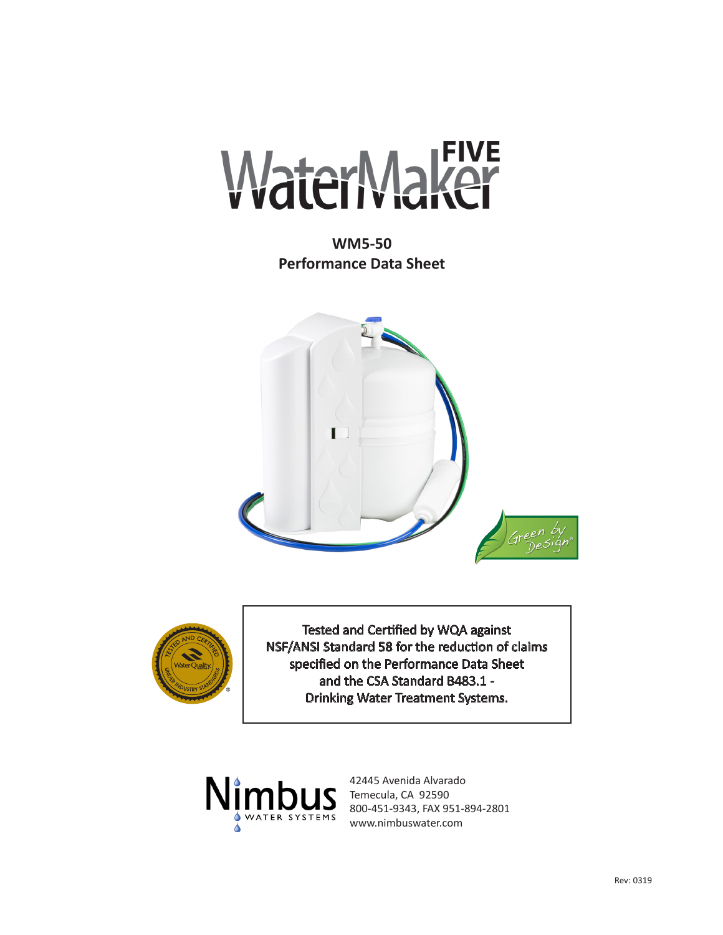

**WM5-50 Performance Data Sheet**





Tested and Certified by WQA against NSF/ANSI Standard 58 for the reduction of claims specified on the Performance Data Sheet and the CSA Standard B483.1 - Drinking Water Treatment Systems.



42445 Avenida Alvarado Temecula, CA 92590 800-451-9343, FAX 951-894-2801 www.nimbuswater.com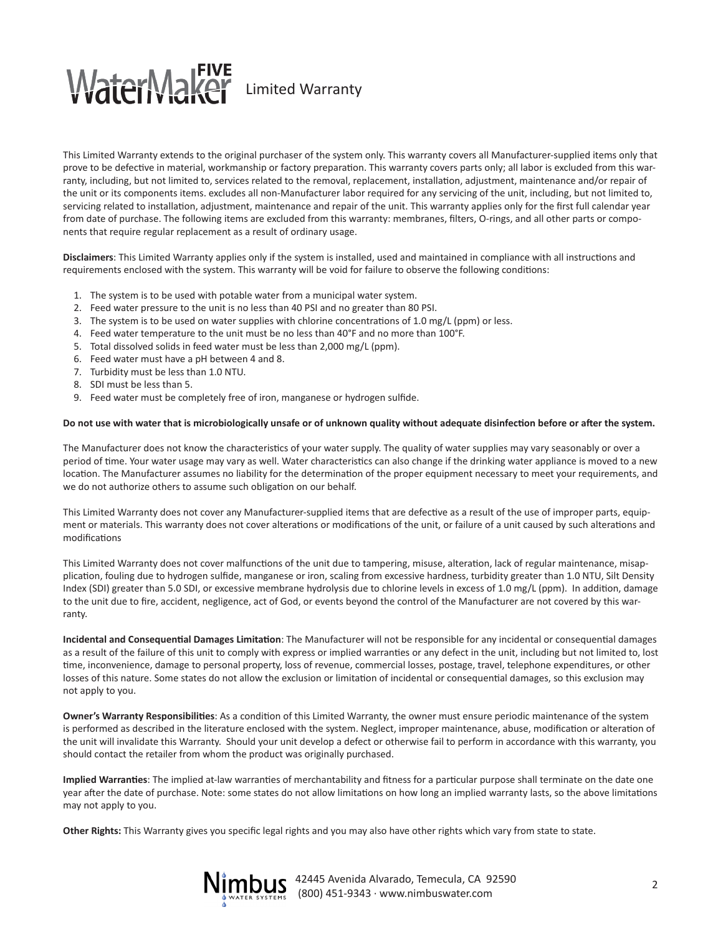## WaterMaker Limited Warranty

This Limited Warranty extends to the original purchaser of the system only. This warranty covers all Manufacturer-supplied items only that prove to be defective in material, workmanship or factory preparation. This warranty covers parts only; all labor is excluded from this warranty, including, but not limited to, services related to the removal, replacement, installation, adjustment, maintenance and/or repair of the unit or its components items. excludes all non-Manufacturer labor required for any servicing of the unit, including, but not limited to, servicing related to installation, adjustment, maintenance and repair of the unit. This warranty applies only for the first full calendar year from date of purchase. The following items are excluded from this warranty: membranes, filters, O-rings, and all other parts or components that require regular replacement as a result of ordinary usage.

**Disclaimers**: This Limited Warranty applies only if the system is installed, used and maintained in compliance with all instructions and requirements enclosed with the system. This warranty will be void for failure to observe the following conditions:

- 1. The system is to be used with potable water from a municipal water system.
- 2. Feed water pressure to the unit is no less than 40 PSI and no greater than 80 PSI.
- 3. The system is to be used on water supplies with chlorine concentrations of 1.0 mg/L (ppm) or less.
- 4. Feed water temperature to the unit must be no less than 40°F and no more than 100°F.
- 5. Total dissolved solids in feed water must be less than 2,000 mg/L (ppm).
- 6. Feed water must have a pH between 4 and 8.
- 7. Turbidity must be less than 1.0 NTU.
- 8. SDI must be less than 5.
- 9. Feed water must be completely free of iron, manganese or hydrogen sulfide.

#### **Do not use with water that is microbiologically unsafe or of unknown quality without adequate disinfection before or after the system.**

The Manufacturer does not know the characteristics of your water supply. The quality of water supplies may vary seasonably or over a period of time. Your water usage may vary as well. Water characteristics can also change if the drinking water appliance is moved to a new location. The Manufacturer assumes no liability for the determination of the proper equipment necessary to meet your requirements, and we do not authorize others to assume such obligation on our behalf.

This Limited Warranty does not cover any Manufacturer-supplied items that are defective as a result of the use of improper parts, equipment or materials. This warranty does not cover alterations or modifications of the unit, or failure of a unit caused by such alterations and modifications

This Limited Warranty does not cover malfunctions of the unit due to tampering, misuse, alteration, lack of regular maintenance, misapplication, fouling due to hydrogen sulfide, manganese or iron, scaling from excessive hardness, turbidity greater than 1.0 NTU, Silt Density Index (SDI) greater than 5.0 SDI, or excessive membrane hydrolysis due to chlorine levels in excess of 1.0 mg/L (ppm). In addition, damage to the unit due to fire, accident, negligence, act of God, or events beyond the control of the Manufacturer are not covered by this warranty.

**Incidental and Consequential Damages Limitation**: The Manufacturer will not be responsible for any incidental or consequential damages as a result of the failure of this unit to comply with express or implied warranties or any defect in the unit, including but not limited to, lost time, inconvenience, damage to personal property, loss of revenue, commercial losses, postage, travel, telephone expenditures, or other losses of this nature. Some states do not allow the exclusion or limitation of incidental or consequential damages, so this exclusion may not apply to you.

**Owner's Warranty Responsibilities**: As a condition of this Limited Warranty, the owner must ensure periodic maintenance of the system is performed as described in the literature enclosed with the system. Neglect, improper maintenance, abuse, modification or alteration of the unit will invalidate this Warranty. Should your unit develop a defect or otherwise fail to perform in accordance with this warranty, you should contact the retailer from whom the product was originally purchased.

**Implied Warranties**: The implied at-law warranties of merchantability and fitness for a particular purpose shall terminate on the date one year after the date of purchase. Note: some states do not allow limitations on how long an implied warranty lasts, so the above limitations may not apply to you.

**Other Rights:** This Warranty gives you specific legal rights and you may also have other rights which vary from state to state.



<sup>2</sup> 42445 Avenida Alvarado, Temecula, CA 92590 (800) 451-9343 · www.nimbuswater.com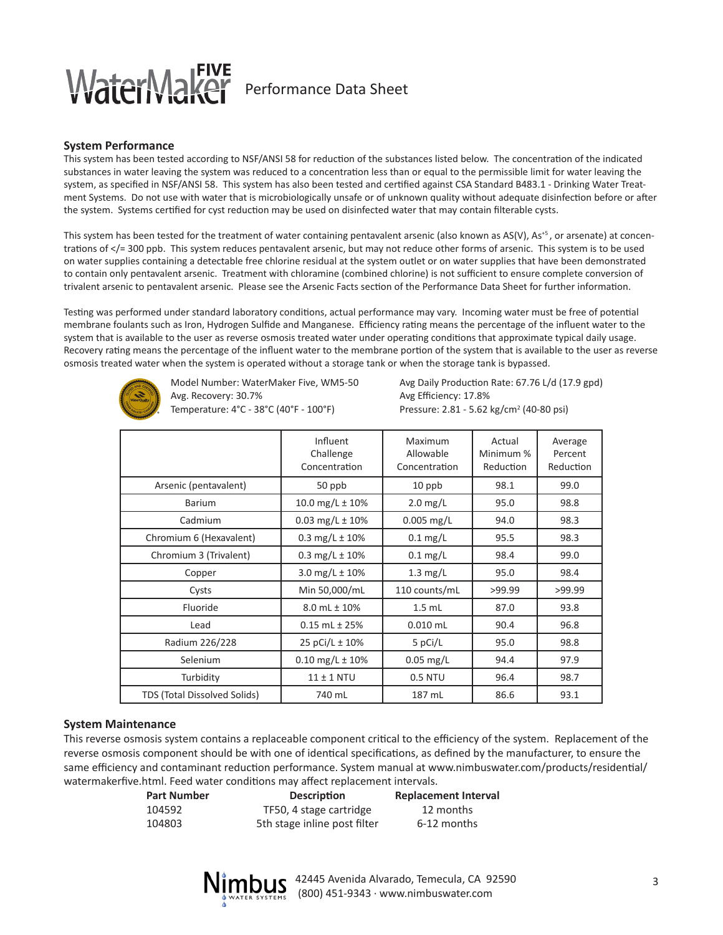### WaterMa Performance Data Sheet

### **System Performance**

This system has been tested according to NSF/ANSI 58 for reduction of the substances listed below. The concentration of the indicated substances in water leaving the system was reduced to a concentration less than or equal to the permissible limit for water leaving the system, as specified in NSF/ANSI 58. This system has also been tested and certified against CSA Standard B483.1 - Drinking Water Treatment Systems. Do not use with water that is microbiologically unsafe or of unknown quality without adequate disinfection before or after the system. Systems certified for cyst reduction may be used on disinfected water that may contain filterable cysts.

This system has been tested for the treatment of water containing pentavalent arsenic (also known as  $AS(V)$ ,  $As<sup>+5</sup>$ , or arsenate) at concentrations of </= 300 ppb. This system reduces pentavalent arsenic, but may not reduce other forms of arsenic. This system is to be used on water supplies containing a detectable free chlorine residual at the system outlet or on water supplies that have been demonstrated to contain only pentavalent arsenic. Treatment with chloramine (combined chlorine) is not sufficient to ensure complete conversion of trivalent arsenic to pentavalent arsenic. Please see the Arsenic Facts section of the Performance Data Sheet for further information.

Testing was performed under standard laboratory conditions, actual performance may vary. Incoming water must be free of potential membrane foulants such as Iron, Hydrogen Sulfide and Manganese. Efficiency rating means the percentage of the influent water to the system that is available to the user as reverse osmosis treated water under operating conditions that approximate typical daily usage. Recovery rating means the percentage of the influent water to the membrane portion of the system that is available to the user as reverse osmosis treated water when the system is operated without a storage tank or when the storage tank is bypassed.



Avg. Recovery: 30.7% Avg Efficiency: 17.8% Temperature: 4°C - 38°C (40°F - 100°F)

Model Number: WaterMaker Five, WM5-50 Avg Daily Production Rate: 67.76 L/d (17.9 gpd) Pressure: 2.81 - 5.62 kg/cm<sup>2</sup> (40-80 psi)

|                              | Influent<br>Challenge<br>Concentration | Maximum<br>Allowable<br>Concentration | Actual<br>Minimum %<br>Reduction | Average<br>Percent<br>Reduction |
|------------------------------|----------------------------------------|---------------------------------------|----------------------------------|---------------------------------|
| Arsenic (pentavalent)        | 50 ppb                                 | 10 ppb                                | 98.1                             | 99.0                            |
| <b>Barium</b>                | 10.0 mg/L $\pm$ 10%                    | $2.0$ mg/L                            | 95.0                             | 98.8                            |
| Cadmium                      | 0.03 mg/L $\pm$ 10%                    | $0.005$ mg/L                          | 94.0                             | 98.3                            |
| Chromium 6 (Hexavalent)      | 0.3 mg/L $\pm$ 10%                     | $0.1$ mg/L                            | 95.5                             | 98.3                            |
| Chromium 3 (Trivalent)       | 0.3 mg/L $\pm$ 10%                     | $0.1 \text{ mg/L}$                    | 98.4                             | 99.0                            |
| Copper                       | 3.0 mg/L $\pm$ 10%                     | $1.3$ mg/L                            | 95.0                             | 98.4                            |
| Cysts                        | Min 50,000/mL                          | 110 counts/mL                         | >99.99                           | >99.99                          |
| Fluoride                     | $8.0$ mL $\pm$ 10%                     | $1.5$ mL                              | 87.0                             | 93.8                            |
| Lead                         | $0.15$ mL $\pm$ 25%                    | $0.010$ mL                            | 90.4                             | 96.8                            |
| Radium 226/228               | 25 pCi/L ± 10%                         | 5 pCi/L                               | 95.0                             | 98.8                            |
| Selenium                     | $0.10$ mg/L $\pm$ 10%                  | $0.05$ mg/L                           | 94.4                             | 97.9                            |
| Turbidity                    | $11 \pm 1$ NTU                         | 0.5 NTU                               | 96.4                             | 98.7                            |
| TDS (Total Dissolved Solids) | 740 mL                                 | 187 mL                                | 86.6                             | 93.1                            |

#### **System Maintenance**

This reverse osmosis system contains a replaceable component critical to the efficiency of the system. Replacement of the reverse osmosis component should be with one of identical specifications, as defined by the manufacturer, to ensure the same efficiency and contaminant reduction performance. System manual at www.nimbuswater.com/products/residential/ watermakerfive.html. Feed water conditions may affect replacement intervals.

| <b>Part Number</b> | <b>Description</b>           | <b>Replacement Interval</b> |
|--------------------|------------------------------|-----------------------------|
| 104592             | TF50, 4 stage cartridge      | 12 months                   |
| 104803             | 5th stage inline post filter | 6-12 months                 |